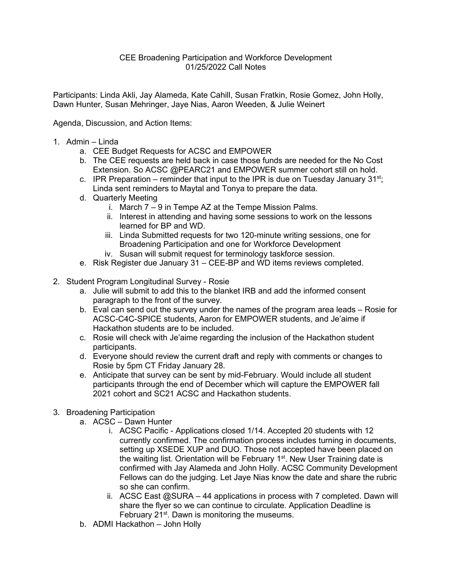## CEE Broadening Participation and Workforce Development 01/25/2022 Call Notes

Participants: Linda Akli, Jay Alameda, Kate Cahill, Susan Fratkin, Rosie Gomez, John Holly, Dawn Hunter, Susan Mehringer, Jaye Nias, Aaron Weeden, & Julie Weinert

Agenda, Discussion, and Action Items:

- 1. Admin Linda
	- a. CEE Budget Requests for ACSC and EMPOWER
	- b. The CEE requests are held back in case those funds are needed for the No Cost Extension. So ACSC @PEARC21 and EMPOWER summer cohort still on hold.
	- c. IPR Preparation reminder that input to the IPR is due on Tuesday January  $31^{st}$ ; Linda sent reminders to Maytal and Tonya to prepare the data.
	- d. Quarterly Meeting
		- i. March 7 9 in Tempe AZ at the Tempe Mission Palms.
		- ii. Interest in attending and having some sessions to work on the lessons learned for BP and WD.
		- iii. Linda Submitted requests for two 120-minute writing sessions, one for Broadening Participation and one for Workforce Development
		- iv. Susan will submit request for terminology taskforce session.
	- e. Risk Register due January 31 CEE-BP and WD items reviews completed.
- 2. Student Program Longitudinal Survey Rosie
	- a. Julie will submit to add this to the blanket IRB and add the informed consent paragraph to the front of the survey.
	- b. Eval can send out the survey under the names of the program area leads Rosie for ACSC-C4C-SPICE students, Aaron for EMPOWER students, and Je'aime if Hackathon students are to be included.
	- c. Rosie will check with Je'aime regarding the inclusion of the Hackathon student participants.
	- d. Everyone should review the current draft and reply with comments or changes to Rosie by 5pm CT Friday January 28.
	- e. Anticipate that survey can be sent by mid-February. Would include all student participants through the end of December which will capture the EMPOWER fall 2021 cohort and SC21 ACSC and Hackathon students.
- 3. Broadening Participation
	- a. ACSC Dawn Hunter
		- i. ACSC Pacific Applications closed 1/14. Accepted 20 students with 12 currently confirmed. The confirmation process includes turning in documents, setting up XSEDE XUP and DUO. Those not accepted have been placed on the waiting list. Orientation will be February 1<sup>st</sup>. New User Training date is confirmed with Jay Alameda and John Holly. ACSC Community Development Fellows can do the judging. Let Jaye Nias know the date and share the rubric so she can confirm.
		- ii. ACSC East @SURA 44 applications in process with 7 completed. Dawn will share the flyer so we can continue to circulate. Application Deadline is February 21<sup>st</sup>. Dawn is monitoring the museums.
	- b. ADMI Hackathon John Holly